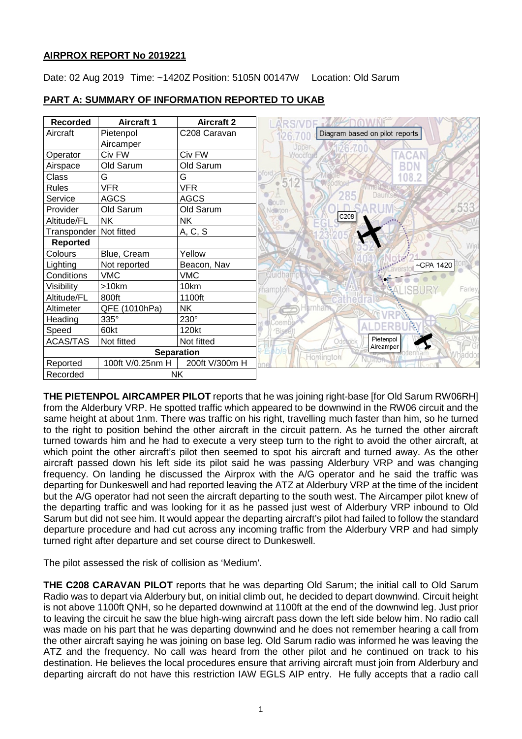# **AIRPROX REPORT No 2019221**

Date: 02 Aug 2019 Time: ~1420Z Position: 5105N 00147W Location: Old Sarum



# **PART A: SUMMARY OF INFORMATION REPORTED TO UKAB**

**THE PIETENPOL AIRCAMPER PILOT** reports that he was joining right-base [for Old Sarum RW06RH] from the Alderbury VRP. He spotted traffic which appeared to be downwind in the RW06 circuit and the same height at about 1nm. There was traffic on his right, travelling much faster than him, so he turned to the right to position behind the other aircraft in the circuit pattern. As he turned the other aircraft turned towards him and he had to execute a very steep turn to the right to avoid the other aircraft, at which point the other aircraft's pilot then seemed to spot his aircraft and turned away. As the other aircraft passed down his left side its pilot said he was passing Alderbury VRP and was changing frequency. On landing he discussed the Airprox with the A/G operator and he said the traffic was departing for Dunkeswell and had reported leaving the ATZ at Alderbury VRP at the time of the incident but the A/G operator had not seen the aircraft departing to the south west. The Aircamper pilot knew of the departing traffic and was looking for it as he passed just west of Alderbury VRP inbound to Old Sarum but did not see him. It would appear the departing aircraft's pilot had failed to follow the standard departure procedure and had cut across any incoming traffic from the Alderbury VRP and had simply turned right after departure and set course direct to Dunkeswell.

The pilot assessed the risk of collision as 'Medium'.

**THE C208 CARAVAN PILOT** reports that he was departing Old Sarum; the initial call to Old Sarum Radio was to depart via Alderbury but, on initial climb out, he decided to depart downwind. Circuit height is not above 1100ft QNH, so he departed downwind at 1100ft at the end of the downwind leg. Just prior to leaving the circuit he saw the blue high-wing aircraft pass down the left side below him. No radio call was made on his part that he was departing downwind and he does not remember hearing a call from the other aircraft saying he was joining on base leg. Old Sarum radio was informed he was leaving the ATZ and the frequency. No call was heard from the other pilot and he continued on track to his destination. He believes the local procedures ensure that arriving aircraft must join from Alderbury and departing aircraft do not have this restriction IAW EGLS AIP entry. He fully accepts that a radio call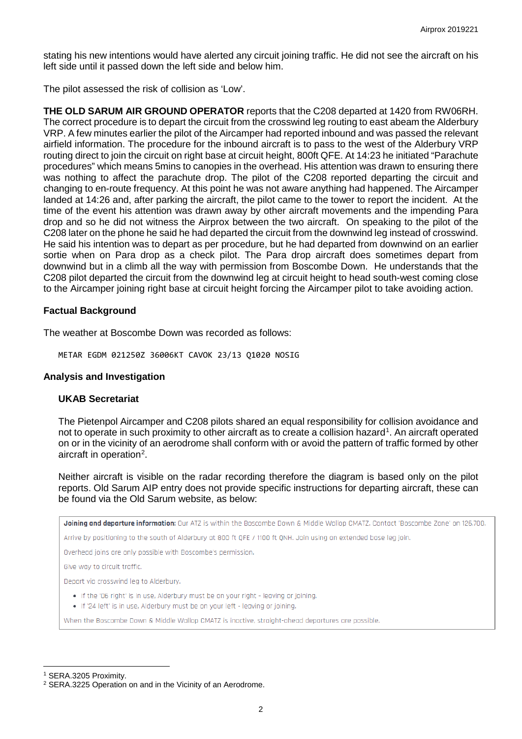stating his new intentions would have alerted any circuit joining traffic. He did not see the aircraft on his left side until it passed down the left side and below him.

The pilot assessed the risk of collision as 'Low'.

**THE OLD SARUM AIR GROUND OPERATOR** reports that the C208 departed at 1420 from RW06RH. The correct procedure is to depart the circuit from the crosswind leg routing to east abeam the Alderbury VRP. A few minutes earlier the pilot of the Aircamper had reported inbound and was passed the relevant airfield information. The procedure for the inbound aircraft is to pass to the west of the Alderbury VRP routing direct to join the circuit on right base at circuit height, 800ft QFE. At 14:23 he initiated "Parachute procedures" which means 5mins to canopies in the overhead. His attention was drawn to ensuring there was nothing to affect the parachute drop. The pilot of the C208 reported departing the circuit and changing to en-route frequency. At this point he was not aware anything had happened. The Aircamper landed at 14:26 and, after parking the aircraft, the pilot came to the tower to report the incident. At the time of the event his attention was drawn away by other aircraft movements and the impending Para drop and so he did not witness the Airprox between the two aircraft. On speaking to the pilot of the C208 later on the phone he said he had departed the circuit from the downwind leg instead of crosswind. He said his intention was to depart as per procedure, but he had departed from downwind on an earlier sortie when on Para drop as a check pilot. The Para drop aircraft does sometimes depart from downwind but in a climb all the way with permission from Boscombe Down. He understands that the C208 pilot departed the circuit from the downwind leg at circuit height to head south-west coming close to the Aircamper joining right base at circuit height forcing the Aircamper pilot to take avoiding action.

### **Factual Background**

The weather at Boscombe Down was recorded as follows:

METAR EGDM 021250Z 36006KT CAVOK 23/13 Q1020 NOSIG

#### **Analysis and Investigation**

### **UKAB Secretariat**

The Pietenpol Aircamper and C208 pilots shared an equal responsibility for collision avoidance and not to operate in such proximity to other aircraft as to create a collision hazard<sup>[1](#page-1-0)</sup>. An aircraft operated on or in the vicinity of an aerodrome shall conform with or avoid the pattern of traffic formed by other aircraft in operation<sup>[2](#page-1-1)</sup>.

Neither aircraft is visible on the radar recording therefore the diagram is based only on the pilot reports. Old Sarum AIP entry does not provide specific instructions for departing aircraft, these can be found via the Old Sarum website, as below:

Joining and departure information: Our ATZ is within the Boscombe Down & Middle Wallop CMATZ. Contact 'Boscombe Zone' on 126.700.

Arrive by positioning to the south of Alderbury at 800 ft OFE / 1100 ft ONH. Join using an extended base leg join.

Overhead joins are only possible with Boscombe's permission.

Give way to circuit traffic.

Depart via crosswind leg to Alderbury.

- . If the '06 right' is in use, Alderbury must be on your right leaving or joining.
- · If '24 left' is in use, Alderbury must be on your left leaving or joining.

When the Boscombe Down & Middle Wallop CMATZ is inactive, straight-ahead departures are possible.

 $\overline{\phantom{a}}$ 

<span id="page-1-0"></span><sup>1</sup> SERA.3205 Proximity.

<span id="page-1-1"></span><sup>2</sup> SERA.3225 Operation on and in the Vicinity of an Aerodrome.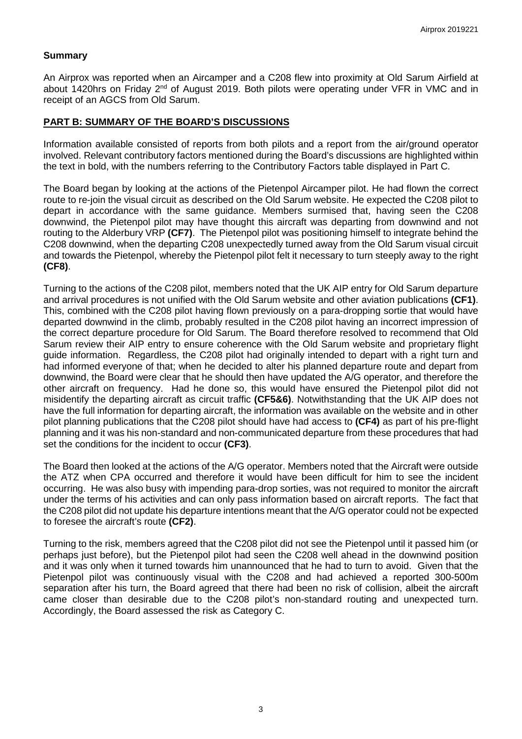## **Summary**

An Airprox was reported when an Aircamper and a C208 flew into proximity at Old Sarum Airfield at about 1420hrs on Friday 2<sup>nd</sup> of August 2019. Both pilots were operating under VFR in VMC and in receipt of an AGCS from Old Sarum.

## **PART B: SUMMARY OF THE BOARD'S DISCUSSIONS**

Information available consisted of reports from both pilots and a report from the air/ground operator involved. Relevant contributory factors mentioned during the Board's discussions are highlighted within the text in bold, with the numbers referring to the Contributory Factors table displayed in Part C.

The Board began by looking at the actions of the Pietenpol Aircamper pilot. He had flown the correct route to re-join the visual circuit as described on the Old Sarum website. He expected the C208 pilot to depart in accordance with the same guidance. Members surmised that, having seen the C208 downwind, the Pietenpol pilot may have thought this aircraft was departing from downwind and not routing to the Alderbury VRP **(CF7)**. The Pietenpol pilot was positioning himself to integrate behind the C208 downwind, when the departing C208 unexpectedly turned away from the Old Sarum visual circuit and towards the Pietenpol, whereby the Pietenpol pilot felt it necessary to turn steeply away to the right **(CF8)**.

Turning to the actions of the C208 pilot, members noted that the UK AIP entry for Old Sarum departure and arrival procedures is not unified with the Old Sarum website and other aviation publications **(CF1)**. This, combined with the C208 pilot having flown previously on a para-dropping sortie that would have departed downwind in the climb, probably resulted in the C208 pilot having an incorrect impression of the correct departure procedure for Old Sarum. The Board therefore resolved to recommend that Old Sarum review their AIP entry to ensure coherence with the Old Sarum website and proprietary flight guide information. Regardless, the C208 pilot had originally intended to depart with a right turn and had informed everyone of that; when he decided to alter his planned departure route and depart from downwind, the Board were clear that he should then have updated the A/G operator, and therefore the other aircraft on frequency. Had he done so, this would have ensured the Pietenpol pilot did not misidentify the departing aircraft as circuit traffic **(CF5&6)**. Notwithstanding that the UK AIP does not have the full information for departing aircraft, the information was available on the website and in other pilot planning publications that the C208 pilot should have had access to **(CF4)** as part of his pre-flight planning and it was his non-standard and non-communicated departure from these procedures that had set the conditions for the incident to occur **(CF3)**.

The Board then looked at the actions of the A/G operator. Members noted that the Aircraft were outside the ATZ when CPA occurred and therefore it would have been difficult for him to see the incident occurring. He was also busy with impending para-drop sorties, was not required to monitor the aircraft under the terms of his activities and can only pass information based on aircraft reports. The fact that the C208 pilot did not update his departure intentions meant that the A/G operator could not be expected to foresee the aircraft's route **(CF2)**.

Turning to the risk, members agreed that the C208 pilot did not see the Pietenpol until it passed him (or perhaps just before), but the Pietenpol pilot had seen the C208 well ahead in the downwind position and it was only when it turned towards him unannounced that he had to turn to avoid. Given that the Pietenpol pilot was continuously visual with the C208 and had achieved a reported 300-500m separation after his turn, the Board agreed that there had been no risk of collision, albeit the aircraft came closer than desirable due to the C208 pilot's non-standard routing and unexpected turn. Accordingly, the Board assessed the risk as Category C.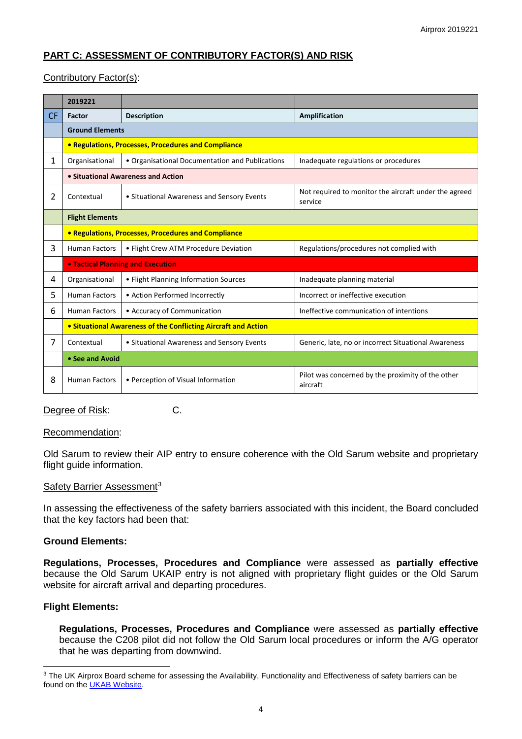# **PART C: ASSESSMENT OF CONTRIBUTORY FACTOR(S) AND RISK**

# Contributory Factor(s):

|           | 2019221                                                        |                                                 |                                                                  |
|-----------|----------------------------------------------------------------|-------------------------------------------------|------------------------------------------------------------------|
| <b>CF</b> | Factor                                                         | <b>Description</b>                              | Amplification                                                    |
|           | <b>Ground Elements</b>                                         |                                                 |                                                                  |
|           | • Regulations, Processes, Procedures and Compliance            |                                                 |                                                                  |
| 1         | Organisational                                                 | • Organisational Documentation and Publications | Inadequate regulations or procedures                             |
|           | • Situational Awareness and Action                             |                                                 |                                                                  |
| 2         | Contextual                                                     | • Situational Awareness and Sensory Events      | Not required to monitor the aircraft under the agreed<br>service |
|           | <b>Flight Elements</b>                                         |                                                 |                                                                  |
|           | • Regulations, Processes, Procedures and Compliance            |                                                 |                                                                  |
| 3         | <b>Human Factors</b>                                           | • Flight Crew ATM Procedure Deviation           | Regulations/procedures not complied with                         |
|           | <b>. Tactical Planning and Execution</b>                       |                                                 |                                                                  |
| 4         | Organisational                                                 | • Flight Planning Information Sources           | Inadequate planning material                                     |
| 5         | <b>Human Factors</b>                                           | • Action Performed Incorrectly                  | Incorrect or ineffective execution                               |
| 6         | <b>Human Factors</b>                                           | • Accuracy of Communication                     | Ineffective communication of intentions                          |
|           | • Situational Awareness of the Conflicting Aircraft and Action |                                                 |                                                                  |
| 7         | Contextual                                                     | • Situational Awareness and Sensory Events      | Generic, late, no or incorrect Situational Awareness             |
|           | • See and Avoid                                                |                                                 |                                                                  |
| 8         | <b>Human Factors</b>                                           | • Perception of Visual Information              | Pilot was concerned by the proximity of the other<br>aircraft    |

## Degree of Risk: C.

### Recommendation:

Old Sarum to review their AIP entry to ensure coherence with the Old Sarum website and proprietary flight guide information.

### Safety Barrier Assessment<sup>[3](#page-3-0)</sup>

In assessing the effectiveness of the safety barriers associated with this incident, the Board concluded that the key factors had been that:

### **Ground Elements:**

**Regulations, Processes, Procedures and Compliance** were assessed as **partially effective** because the Old Sarum UKAIP entry is not aligned with proprietary flight guides or the Old Sarum website for aircraft arrival and departing procedures.

## **Flight Elements:**

 $\overline{\phantom{a}}$ 

**Regulations, Processes, Procedures and Compliance** were assessed as **partially effective** because the C208 pilot did not follow the Old Sarum local procedures or inform the A/G operator that he was departing from downwind.

<span id="page-3-0"></span><sup>&</sup>lt;sup>3</sup> The UK Airprox Board scheme for assessing the Availability, Functionality and Effectiveness of safety barriers can be found on the [UKAB Website.](http://www.airproxboard.org.uk/Learn-more/Airprox-Barrier-Assessment/)